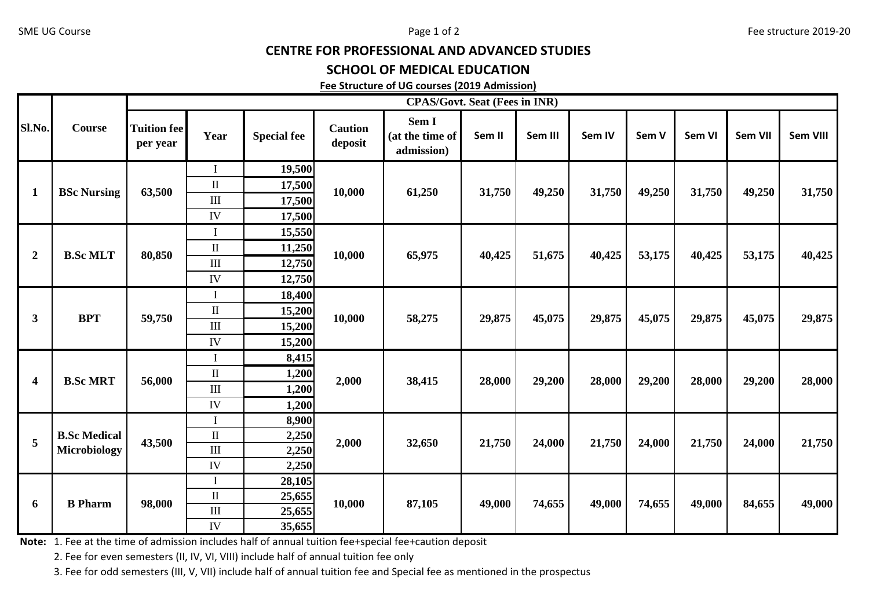## CENTRE FOR PROFESSIONAL AND ADVANCED STUDIES

## SCHOOL OF MEDICAL EDUCATION

## Fee Structure of UG courses (2019 Admission)

| Sl.No.                  | <b>Course</b>                              | <b>CPAS/Govt. Seat (Fees in INR)</b> |             |                    |                           |                                        |        |         |        |        |        |                |          |
|-------------------------|--------------------------------------------|--------------------------------------|-------------|--------------------|---------------------------|----------------------------------------|--------|---------|--------|--------|--------|----------------|----------|
|                         |                                            | <b>Tuition fee</b><br>per year       | Year        | <b>Special fee</b> | <b>Caution</b><br>deposit | Sem I<br>(at the time of<br>admission) | Sem II | Sem III | Sem IV | Sem V  | Sem VI | <b>Sem VII</b> | Sem VIII |
| $\mathbf{1}$            | <b>BSc Nursing</b>                         | 63,500                               |             | 19,500             | 10,000                    | 61,250                                 | 31,750 | 49,250  | 31,750 | 49,250 | 31,750 | 49,250         | 31,750   |
|                         |                                            |                                      | $\rm II$    | 17,500             |                           |                                        |        |         |        |        |        |                |          |
|                         |                                            |                                      | $\rm III$   | 17,500             |                           |                                        |        |         |        |        |        |                |          |
|                         |                                            |                                      | IV          | 17,500             |                           |                                        |        |         |        |        |        |                |          |
| $\boldsymbol{2}$        | <b>B.Sc MLT</b>                            | 80,850                               |             | 15,550             | 10,000                    | 65,975                                 | 40,425 | 51,675  | 40,425 | 53,175 | 40,425 | 53,175         | 40,425   |
|                         |                                            |                                      | $\rm II$    | 11,250             |                           |                                        |        |         |        |        |        |                |          |
|                         |                                            |                                      | $\rm III$   | 12,750             |                           |                                        |        |         |        |        |        |                |          |
|                         |                                            |                                      | IV          | 12,750             |                           |                                        |        |         |        |        |        |                |          |
| 3                       | <b>BPT</b>                                 | 59,750                               | $\mathbf I$ | 18,400             | 10,000                    | 58,275                                 | 29,875 | 45,075  | 29,875 | 45,075 | 29,875 | 45,075         | 29,875   |
|                         |                                            |                                      | $\rm II$    | 15,200             |                           |                                        |        |         |        |        |        |                |          |
|                         |                                            |                                      | $\rm III$   | 15,200             |                           |                                        |        |         |        |        |        |                |          |
|                         |                                            |                                      | IV          | 15,200             |                           |                                        |        |         |        |        |        |                |          |
| $\overline{\mathbf{4}}$ | <b>B.Sc MRT</b>                            | 56,000                               |             | 8,415              | 2,000                     | 38,415                                 | 28,000 | 29,200  | 28,000 | 29,200 | 28,000 | 29,200         | 28,000   |
|                         |                                            |                                      | $\rm II$    | 1,200              |                           |                                        |        |         |        |        |        |                |          |
|                         |                                            |                                      | III         | 1,200              |                           |                                        |        |         |        |        |        |                |          |
|                         |                                            |                                      | IV          | 1,200              |                           |                                        |        |         |        |        |        |                |          |
| 5                       | <b>B.Sc Medical</b><br><b>Microbiology</b> | 43,500                               |             | 8,900              | 2,000                     | 32,650                                 | 21,750 | 24,000  | 21,750 | 24,000 | 21,750 | 24,000         | 21,750   |
|                         |                                            |                                      | $\rm II$    | 2,250              |                           |                                        |        |         |        |        |        |                |          |
|                         |                                            |                                      | $\rm III$   | 2,250              |                           |                                        |        |         |        |        |        |                |          |
|                         |                                            |                                      | IV          | 2,250              |                           |                                        |        |         |        |        |        |                |          |
| 6                       | <b>B</b> Pharm                             | 98,000                               |             | 28,105             | 10,000                    | 87,105                                 | 49,000 | 74,655  | 49,000 | 74,655 | 49,000 | 84,655         | 49,000   |
|                         |                                            |                                      | $\rm II$    | 25,655             |                           |                                        |        |         |        |        |        |                |          |
|                         |                                            |                                      | $\rm III$   | 25,655             |                           |                                        |        |         |        |        |        |                |          |
|                         |                                            |                                      | IV          | 35,655             |                           |                                        |        |         |        |        |        |                |          |

Note: 1. Fee at the time of admission includes half of annual tuition fee+special fee+caution deposit

2. Fee for even semesters (II, IV, VI, VIII) include half of annual tuition fee only

3. Fee for odd semesters (III, V, VII) include half of annual tuition fee and Special fee as mentioned in the prospectus